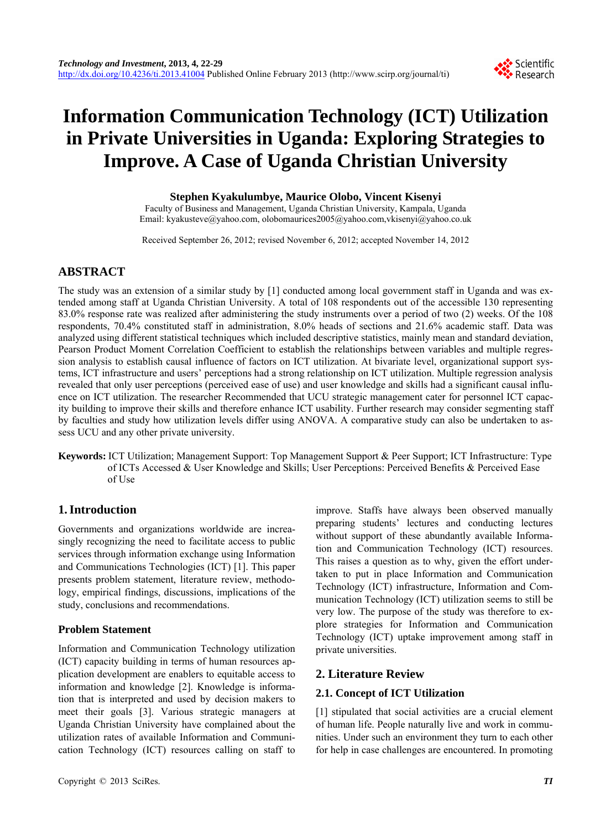# **Information Communication Technology (ICT) Utilization in Private Universities in Uganda: Exploring Strategies to Improve. A Case of Uganda Christian University**

### **Stephen Kyakulumbye, Maurice Olobo, Vincent Kisenyi**

Faculty of Business and Management, Uganda Christian University, Kampala, Uganda Email: kyakusteve@yahoo.com, olobomaurices2005@yahoo.com,vkisenyi@yahoo.co.uk

Received September 26, 2012; revised November 6, 2012; accepted November 14, 2012

# **ABSTRACT**

The study was an extension of a similar study by [1] conducted among local government staff in Uganda and was extended among staff at Uganda Christian University. A total of 108 respondents out of the accessible 130 representing 83.0% response rate was realized after administering the study instruments over a period of two (2) weeks. Of the 108 respondents, 70.4% constituted staff in administration, 8.0% heads of sections and 21.6% academic staff. Data was analyzed using different statistical techniques which included descriptive statistics, mainly mean and standard deviation, Pearson Product Moment Correlation Coefficient to establish the relationships between variables and multiple regression analysis to establish causal influence of factors on ICT utilization. At bivariate level, organizational support systems, ICT infrastructure and users' perceptions had a strong relationship on ICT utilization. Multiple regression analysis revealed that only user perceptions (perceived ease of use) and user knowledge and skills had a significant causal influence on ICT utilization. The researcher Recommended that UCU strategic management cater for personnel ICT capacity building to improve their skills and therefore enhance ICT usability. Further research may consider segmenting staff by faculties and study how utilization levels differ using ANOVA. A comparative study can also be undertaken to assess UCU and any other private university.

**Keywords:** ICT Utilization; Management Support: Top Management Support & Peer Support; ICT Infrastructure: Type of ICTs Accessed & User Knowledge and Skills; User Perceptions: Perceived Benefits & Perceived Ease of Use

# **1. Introduction**

Governments and organizations worldwide are increasingly recognizing the need to facilitate access to public services through information exchange using Information and Communications Technologies (ICT) [1]. This paper presents problem statement, literature review, methodology, empirical findings, discussions, implications of the study, conclusions and recommendations.

# **Problem Statement**

Information and Communication Technology utilization (ICT) capacity building in terms of human resources application development are enablers to equitable access to information and knowledge [2]. Knowledge is information that is interpreted and used by decision makers to meet their goals [3]. Various strategic managers at Uganda Christian University have complained about the utilization rates of available Information and Communication Technology (ICT) resources calling on staff to

improve. Staffs have always been observed manually preparing students' lectures and conducting lectures without support of these abundantly available Information and Communication Technology (ICT) resources. This raises a question as to why, given the effort undertaken to put in place Information and Communication Technology (ICT) infrastructure, Information and Communication Technology (ICT) utilization seems to still be very low. The purpose of the study was therefore to explore strategies for Information and Communication Technology (ICT) uptake improvement among staff in private universities.

# **2. Literature Review**

# **2.1. Concept of ICT Utilization**

[1] stipulated that social activities are a crucial element of human life. People naturally live and work in communities. Under such an environment they turn to each other for help in case challenges are encountered. In promoting

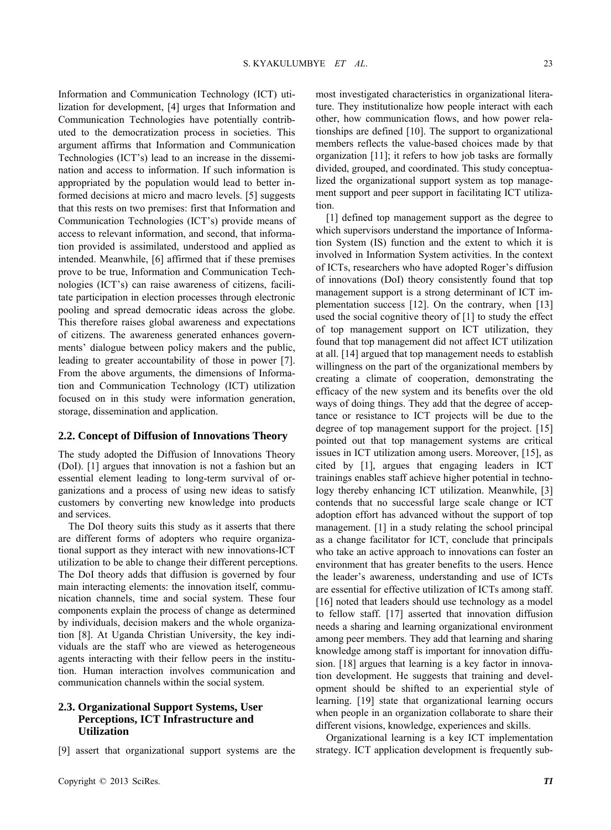Information and Communication Technology (ICT) utilization for development, [4] urges that Information and Communication Technologies have potentially contributed to the democratization process in societies. This argument affirms that Information and Communication Technologies (ICT's) lead to an increase in the dissemination and access to information. If such information is appropriated by the population would lead to better informed decisions at micro and macro levels. [5] suggests that this rests on two premises: first that Information and Communication Technologies (ICT's) provide means of access to relevant information, and second, that information provided is assimilated, understood and applied as intended. Meanwhile, [6] affirmed that if these premises prove to be true, Information and Communication Technologies (ICT's) can raise awareness of citizens, facilitate participation in election processes through electronic pooling and spread democratic ideas across the globe. This therefore raises global awareness and expectations of citizens. The awareness generated enhances governments' dialogue between policy makers and the public, leading to greater accountability of those in power [7]. From the above arguments, the dimensions of Information and Communication Technology (ICT) utilization focused on in this study were information generation, storage, dissemination and application.

#### **2.2. Concept of Diffusion of Innovations Theory**

The study adopted the Diffusion of Innovations Theory (DoI). [1] argues that innovation is not a fashion but an essential element leading to long-term survival of organizations and a process of using new ideas to satisfy customers by converting new knowledge into products and services.

The DoI theory suits this study as it asserts that there are different forms of adopters who require organizational support as they interact with new innovations-ICT utilization to be able to change their different perceptions. The DoI theory adds that diffusion is governed by four main interacting elements: the innovation itself, communication channels, time and social system. These four components explain the process of change as determined by individuals, decision makers and the whole organization [8]. At Uganda Christian University, the key individuals are the staff who are viewed as heterogeneous agents interacting with their fellow peers in the institution. Human interaction involves communication and communication channels within the social system.

### **2.3. Organizational Support Systems, User Perceptions, ICT Infrastructure and Utilization**

[9] assert that organizational support systems are the

most investigated characteristics in organizational literature. They institutionalize how people interact with each other, how communication flows, and how power relationships are defined [10]. The support to organizational members reflects the value-based choices made by that organization [11]; it refers to how job tasks are formally divided, grouped, and coordinated. This study conceptualized the organizational support system as top management support and peer support in facilitating ICT utilization.

[1] defined top management support as the degree to which supervisors understand the importance of Information System (IS) function and the extent to which it is involved in Information System activities. In the context of ICTs, researchers who have adopted Roger's diffusion of innovations (DoI) theory consistently found that top management support is a strong determinant of ICT implementation success [12]. On the contrary, when [13] used the social cognitive theory of [1] to study the effect of top management support on ICT utilization, they found that top management did not affect ICT utilization at all. [14] argued that top management needs to establish willingness on the part of the organizational members by creating a climate of cooperation, demonstrating the efficacy of the new system and its benefits over the old ways of doing things. They add that the degree of acceptance or resistance to ICT projects will be due to the degree of top management support for the project. [15] pointed out that top management systems are critical issues in ICT utilization among users. Moreover, [15], as cited by [1], argues that engaging leaders in ICT trainings enables staff achieve higher potential in technology thereby enhancing ICT utilization. Meanwhile, [3] contends that no successful large scale change or ICT adoption effort has advanced without the support of top management. [1] in a study relating the school principal as a change facilitator for ICT, conclude that principals who take an active approach to innovations can foster an environment that has greater benefits to the users. Hence the leader's awareness, understanding and use of ICTs are essential for effective utilization of ICTs among staff. [16] noted that leaders should use technology as a model to fellow staff. [17] asserted that innovation diffusion needs a sharing and learning organizational environment among peer members. They add that learning and sharing knowledge among staff is important for innovation diffusion. [18] argues that learning is a key factor in innovation development. He suggests that training and development should be shifted to an experiential style of learning. [19] state that organizational learning occurs when people in an organization collaborate to share their different visions, knowledge, experiences and skills.

Organizational learning is a key ICT implementation strategy. ICT application development is frequently sub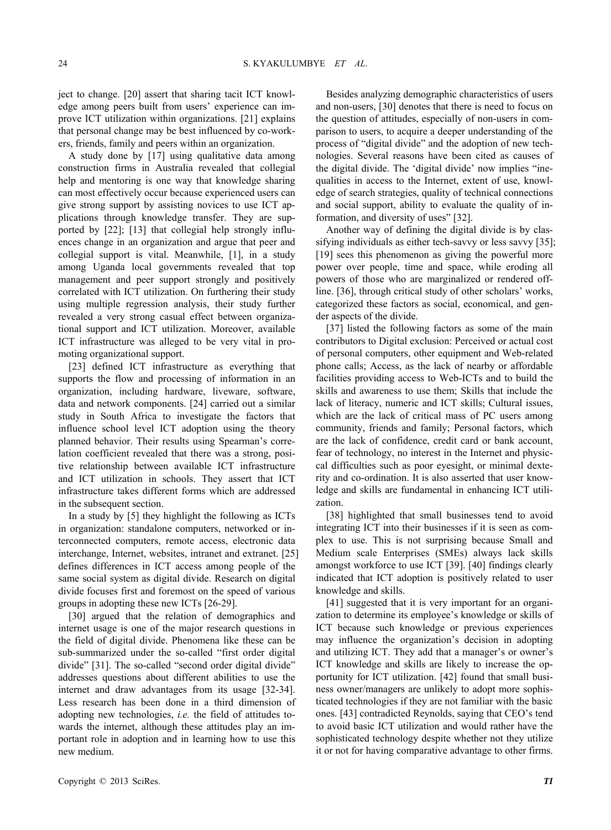ject to change. [20] assert that sharing tacit ICT knowledge among peers built from users' experience can improve ICT utilization within organizations. [21] explains that personal change may be best influenced by co-workers, friends, family and peers within an organization.

A study done by [17] using qualitative data among construction firms in Australia revealed that collegial help and mentoring is one way that knowledge sharing can most effectively occur because experienced users can give strong support by assisting novices to use ICT applications through knowledge transfer. They are supported by [22]; [13] that collegial help strongly influences change in an organization and argue that peer and collegial support is vital. Meanwhile, [1], in a study among Uganda local governments revealed that top management and peer support strongly and positively correlated with ICT utilization. On furthering their study using multiple regression analysis, their study further revealed a very strong casual effect between organizational support and ICT utilization. Moreover, available ICT infrastructure was alleged to be very vital in promoting organizational support.

[23] defined ICT infrastructure as everything that supports the flow and processing of information in an organization, including hardware, liveware, software, data and network components. [24] carried out a similar study in South Africa to investigate the factors that influence school level ICT adoption using the theory planned behavior. Their results using Spearman's correlation coefficient revealed that there was a strong, positive relationship between available ICT infrastructure and ICT utilization in schools. They assert that ICT infrastructure takes different forms which are addressed in the subsequent section.

In a study by [5] they highlight the following as ICTs in organization: standalone computers, networked or interconnected computers, remote access, electronic data interchange, Internet, websites, intranet and extranet. [25] defines differences in ICT access among people of the same social system as digital divide. Research on digital divide focuses first and foremost on the speed of various groups in adopting these new ICTs [26-29].

[30] argued that the relation of demographics and internet usage is one of the major research questions in the field of digital divide. Phenomena like these can be sub-summarized under the so-called "first order digital divide" [31]. The so-called "second order digital divide" addresses questions about different abilities to use the internet and draw advantages from its usage [32-34]. Less research has been done in a third dimension of adopting new technologies, *i.e.* the field of attitudes towards the internet, although these attitudes play an important role in adoption and in learning how to use this new medium.

Besides analyzing demographic characteristics of users and non-users, [30] denotes that there is need to focus on the question of attitudes, especially of non-users in comparison to users, to acquire a deeper understanding of the process of "digital divide" and the adoption of new technologies. Several reasons have been cited as causes of the digital divide. The 'digital divide' now implies "inequalities in access to the Internet, extent of use, knowledge of search strategies, quality of technical connections and social support, ability to evaluate the quality of information, and diversity of uses" [32].

Another way of defining the digital divide is by classifying individuals as either tech-say or less say of [35]; [19] sees this phenomenon as giving the powerful more power over people, time and space, while eroding all powers of those who are marginalized or rendered offline. [36], through critical study of other scholars' works, categorized these factors as social, economical, and gender aspects of the divide.

[37] listed the following factors as some of the main contributors to Digital exclusion: Perceived or actual cost of personal computers, other equipment and Web-related phone calls; Access, as the lack of nearby or affordable facilities providing access to Web-ICTs and to build the skills and awareness to use them; Skills that include the lack of literacy, numeric and ICT skills; Cultural issues, which are the lack of critical mass of PC users among community, friends and family; Personal factors, which are the lack of confidence, credit card or bank account, fear of technology, no interest in the Internet and physiccal difficulties such as poor eyesight, or minimal dexterity and co-ordination. It is also asserted that user knowledge and skills are fundamental in enhancing ICT utilization.

[38] highlighted that small businesses tend to avoid integrating ICT into their businesses if it is seen as complex to use. This is not surprising because Small and Medium scale Enterprises (SMEs) always lack skills amongst workforce to use ICT [39]. [40] findings clearly indicated that ICT adoption is positively related to user knowledge and skills.

[41] suggested that it is very important for an organization to determine its employee's knowledge or skills of ICT because such knowledge or previous experiences may influence the organization's decision in adopting and utilizing ICT. They add that a manager's or owner's ICT knowledge and skills are likely to increase the opportunity for ICT utilization. [42] found that small business owner/managers are unlikely to adopt more sophisticated technologies if they are not familiar with the basic ones. [43] contradicted Reynolds, saying that CEO's tend to avoid basic ICT utilization and would rather have the sophisticated technology despite whether not they utilize it or not for having comparative advantage to other firms.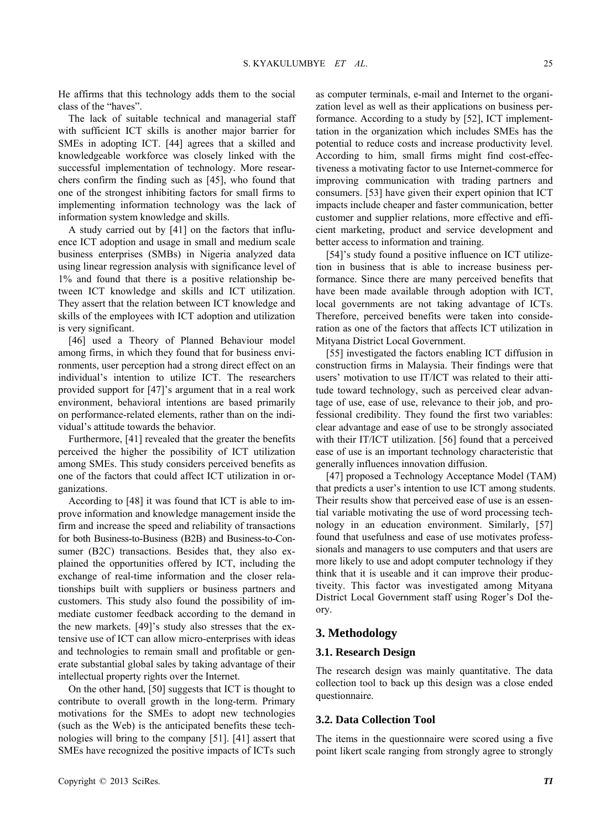He affirms that this technology adds them to the social class of the "haves".

The lack of suitable technical and managerial staff with sufficient ICT skills is another major barrier for SMEs in adopting ICT. [44] agrees that a skilled and knowledgeable workforce was closely linked with the successful implementation of technology. More researchers confirm the finding such as [45], who found that one of the strongest inhibiting factors for small firms to implementing information technology was the lack of information system knowledge and skills.

A study carried out by [41] on the factors that influence ICT adoption and usage in small and medium scale business enterprises (SMBs) in Nigeria analyzed data using linear regression analysis with significance level of 1% and found that there is a positive relationship between ICT knowledge and skills and ICT utilization. They assert that the relation between ICT knowledge and skills of the employees with ICT adoption and utilization is very significant.

[46] used a Theory of Planned Behaviour model among firms, in which they found that for business environments, user perception had a strong direct effect on an individual's intention to utilize ICT. The researchers provided support for [47]'s argument that in a real work environment, behavioral intentions are based primarily on performance-related elements, rather than on the individual's attitude towards the behavior.

Furthermore, [41] revealed that the greater the benefits perceived the higher the possibility of ICT utilization among SMEs. This study considers perceived benefits as one of the factors that could affect ICT utilization in organizations.

According to [48] it was found that ICT is able to improve information and knowledge management inside the firm and increase the speed and reliability of transactions for both Business-to-Business (B2B) and Business-to-Consumer (B2C) transactions. Besides that, they also explained the opportunities offered by ICT, including the exchange of real-time information and the closer relationships built with suppliers or business partners and customers. This study also found the possibility of immediate customer feedback according to the demand in the new markets. [49]'s study also stresses that the extensive use of ICT can allow micro-enterprises with ideas and technologies to remain small and profitable or generate substantial global sales by taking advantage of their intellectual property rights over the Internet.

On the other hand, [50] suggests that ICT is thought to contribute to overall growth in the long-term. Primary motivations for the SMEs to adopt new technologies (such as the Web) is the anticipated benefits these technologies will bring to the company [51]. [41] assert that SMEs have recognized the positive impacts of ICTs such

as computer terminals, e-mail and Internet to the organization level as well as their applications on business performance. According to a study by [52], ICT implementtation in the organization which includes SMEs has the potential to reduce costs and increase productivity level. According to him, small firms might find cost-effectiveness a motivating factor to use Internet-commerce for improving communication with trading partners and consumers. [53] have given their expert opinion that ICT impacts include cheaper and faster communication, better customer and supplier relations, more effective and efficient marketing, product and service development and better access to information and training.

[54]'s study found a positive influence on ICT utilizetion in business that is able to increase business performance. Since there are many perceived benefits that have been made available through adoption with ICT, local governments are not taking advantage of ICTs. Therefore, perceived benefits were taken into consideration as one of the factors that affects ICT utilization in Mityana District Local Government.

[55] investigated the factors enabling ICT diffusion in construction firms in Malaysia. Their findings were that users' motivation to use IT/ICT was related to their attitude toward technology, such as perceived clear advantage of use, ease of use, relevance to their job, and professional credibility. They found the first two variables: clear advantage and ease of use to be strongly associated with their IT/ICT utilization. [56] found that a perceived ease of use is an important technology characteristic that generally influences innovation diffusion.

[47] proposed a Technology Acceptance Model (TAM) that predicts a user's intention to use ICT among students. Their results show that perceived ease of use is an essential variable motivating the use of word processing technology in an education environment. Similarly, [57] found that usefulness and ease of use motivates professsionals and managers to use computers and that users are more likely to use and adopt computer technology if they think that it is useable and it can improve their productiveity. This factor was investigated among Mityana District Local Government staff using Roger's DoI theory.

#### **3. Methodology**

#### **3.1. Research Design**

The research design was mainly quantitative. The data collection tool to back up this design was a close ended questionnaire.

### **3.2. Data Collection Tool**

The items in the questionnaire were scored using a five point likert scale ranging from strongly agree to strongly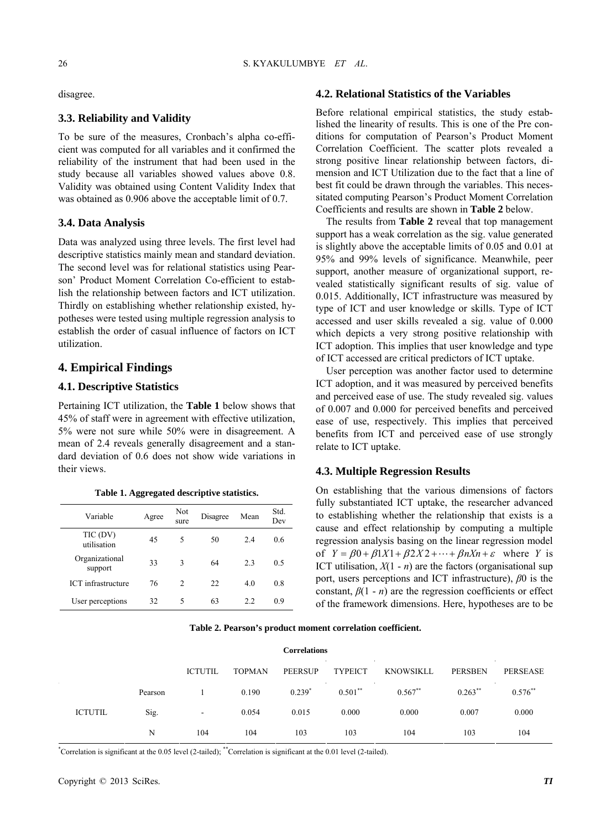#### **3.3. Reliability and Validity**

To be sure of the measures, Cronbach's alpha co-efficient was computed for all variables and it confirmed the reliability of the instrument that had been used in the study because all variables showed values above 0.8. Validity was obtained using Content Validity Index that was obtained as 0.906 above the acceptable limit of 0.7.

#### **3.4. Data Analysis**

Data was analyzed using three levels. The first level had descriptive statistics mainly mean and standard deviation. The second level was for relational statistics using Pearson' Product Moment Correlation Co-efficient to establish the relationship between factors and ICT utilization. Thirdly on establishing whether relationship existed, hypotheses were tested using multiple regression analysis to establish the order of casual influence of factors on ICT utilization.

# **4.1. Descriptive Statistics**

Pertaining ICT utilization, the **Table 1** below shows that 45% of staff were in agreement with effective utilization, 5% were not sure while 50% were in disagreement. A mean of 2.4 reveals generally disagreement and a standard deviation of 0.6 does not show wide variations in their views. **4.3. Multiple Regression Results** 

| Variable                  | Agree | Not<br>sure    | Disagree | Mean | Std.<br>Dev |
|---------------------------|-------|----------------|----------|------|-------------|
| TIC (DV)<br>utilisation   | 45    | 5              | 50       | 2.4  | 0.6         |
| Organizational<br>support | 33    | 3              | 64       | 2.3  | 0.5         |
| ICT infrastructure        | 76    | $\mathfrak{D}$ | 22       | 4.0  | 0.8         |
| User perceptions          | 32    | 5              | 63       | 2.2  | 0.9         |

**Table 1. Aggregated descriptive statistics.** 

#### disagree. **4.2. Relational Statistics of the Variables**

Before relational empirical statistics, the study established the linearity of results. This is one of the Pre conditions for computation of Pearson's Product Moment Correlation Coefficient. The scatter plots revealed a strong positive linear relationship between factors, dimension and ICT Utilization due to the fact that a line of best fit could be drawn through the variables. This necessitated computing Pearson's Product Moment Correlation Coefficients and results are shown in **Table 2** below.

The results from **Table 2** reveal that top management support has a weak correlation as the sig. value generated is slightly above the acceptable limits of 0.05 and 0.01 at 95% and 99% levels of significance. Meanwhile, peer support, another measure of organizational support, revealed statistically significant results of sig. value of 0.015. Additionally, ICT infrastructure was measured by type of ICT and user knowledge or skills. Type of ICT accessed and user skills revealed a sig. value of 0.000 which depicts a very strong positive relationship with ICT adoption. This implies that user knowledge and type of ICT accessed are critical predictors of ICT uptake.

**4. Empirical Findings** User perception was another factor used to determine ICT adoption, and it was measured by perceived benefits and perceived ease of use. The study revealed sig. values of 0.007 and 0.000 for perceived benefits and perceived ease of use, respectively. This implies that perceived benefits from ICT and perceived ease of use strongly relate to ICT uptake.

On establishing that the various dimensions of factors fully substantiated ICT uptake, the researcher advanced to establishing whether the relationship that exists is a cause and effect relationship by computing a multiple regression analysis basing on the linear regression model of  $Y = \beta 0 + \beta 1X1 + \beta 2X2 + \cdots + \beta nXn + \varepsilon$  where *Y* is ICT utilisation,  $X(1 - n)$  are the factors (organisational sup port, users perceptions and ICT infrastructure), *β*0 is the constant,  $\beta(1 - n)$  are the regression coefficients or effect of the framework dimensions. Here, hypotheses are to be

|  |  |  |  | Table 2. Pearson's product moment correlation coefficient. |  |  |  |
|--|--|--|--|------------------------------------------------------------|--|--|--|
|--|--|--|--|------------------------------------------------------------|--|--|--|

| <b>Correlations</b><br>$\sim 10^{-1}$ |                   |                                  |               |                |                |                  |                              |                       |
|---------------------------------------|-------------------|----------------------------------|---------------|----------------|----------------|------------------|------------------------------|-----------------------|
|                                       |                   | $\sim 10^{-1}$<br><b>ICTUTIL</b> | <b>TOPMAN</b> | <b>PEERSUP</b> | <b>TYPEICT</b> | <b>KNOWSIKLL</b> | $\sim 100$<br><b>PERSBEN</b> | <b>PERSEASE</b>       |
|                                       | $\sim$<br>Pearson |                                  | 0.190         | $0.239*$       | $0.501$ **     | $0.567**$        | $0.263$ **                   | $0.576$ <sup>**</sup> |
| <b>ICTUTIL</b>                        | Sig.              | ۰.                               | 0.054         | 0.015          | 0.000          | 0.000            | 0.007                        | 0.000                 |
|                                       | N                 | 104                              | 104           | 103            | 103            | 104              | 103                          | 104                   |

\* Correlation is significant at the 0.05 level (2-tailed); \*\*Correlation is significant at the 0.01 level (2-tailed).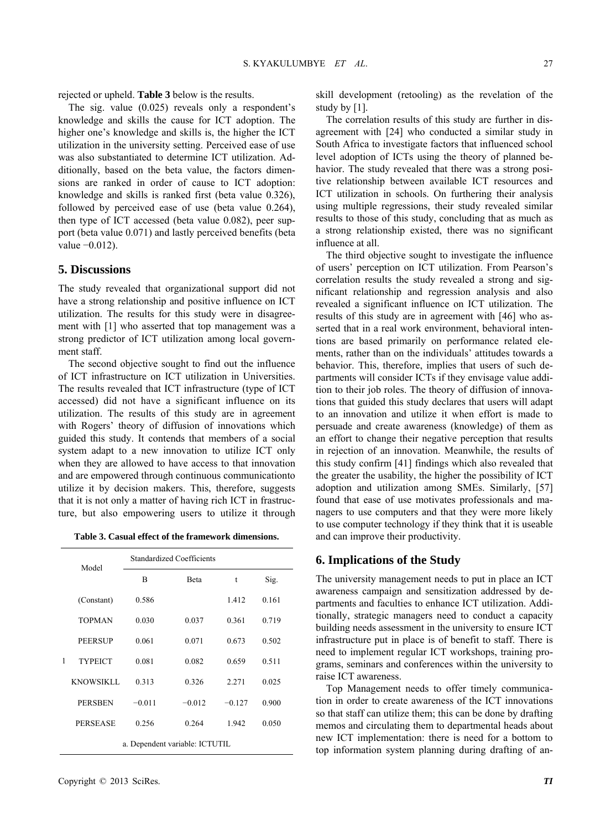rejected or upheld. **Table 3** below is the results.

The sig. value (0.025) reveals only a respondent's knowledge and skills the cause for ICT adoption. The higher one's knowledge and skills is, the higher the ICT utilization in the university setting. Perceived ease of use was also substantiated to determine ICT utilization. Additionally, based on the beta value, the factors dimensions are ranked in order of cause to ICT adoption: knowledge and skills is ranked first (beta value 0.326), followed by perceived ease of use (beta value 0.264), then type of ICT accessed (beta value 0.082), peer support (beta value 0.071) and lastly perceived benefits (beta value −0.012).

#### **5. Discussions**

The study revealed that organizational support did not have a strong relationship and positive influence on ICT utilization. The results for this study were in disagreement with [1] who asserted that top management was a strong predictor of ICT utilization among local government staff.

The second objective sought to find out the influence of ICT infrastructure on ICT utilization in Universities. The results revealed that ICT infrastructure (type of ICT accessed) did not have a significant influence on its utilization. The results of this study are in agreement with Rogers' theory of diffusion of innovations which guided this study. It contends that members of a social system adapt to a new innovation to utilize ICT only when they are allowed to have access to that innovation and are empowered through continuous communicationto utilize it by decision makers. This, therefore, suggests that it is not only a matter of having rich ICT in frastructure, but also empowering users to utilize it through

| Table 3. Casual effect of the framework dimensions. |  |  |  |
|-----------------------------------------------------|--|--|--|
|-----------------------------------------------------|--|--|--|

|   | Model            |           | <b>Standardized Coefficients</b> |          |       |
|---|------------------|-----------|----------------------------------|----------|-------|
|   |                  | B<br>Beta |                                  | t        | Sig.  |
|   | (Constant)       | 0.586     |                                  | 1.412    | 0.161 |
| 1 | <b>TOPMAN</b>    | 0.030     | 0.037                            | 0.361    | 0.719 |
|   | <b>PEERSUP</b>   | 0.061     | 0.071                            | 0.673    | 0.502 |
|   | <b>TYPEICT</b>   | 0.081     | 0.082                            | 0.659    | 0.511 |
|   | <b>KNOWSIKLL</b> | 0.313     | 0.326                            | 2.271    | 0.025 |
|   | <b>PERSBEN</b>   | $-0.011$  | $-0.012$                         | $-0.127$ | 0.900 |
|   | <b>PERSEASE</b>  | 0.256     | 0.264                            | 1.942    | 0.050 |
|   |                  |           | a. Dependent variable: ICTUTIL   |          |       |

skill development (retooling) as the revelation of the study by [1].

The correlation results of this study are further in disagreement with [24] who conducted a similar study in South Africa to investigate factors that influenced school level adoption of ICTs using the theory of planned behavior. The study revealed that there was a strong positive relationship between available ICT resources and ICT utilization in schools. On furthering their analysis using multiple regressions, their study revealed similar results to those of this study, concluding that as much as a strong relationship existed, there was no significant influence at all.

The third objective sought to investigate the influence of users' perception on ICT utilization. From Pearson's correlation results the study revealed a strong and significant relationship and regression analysis and also revealed a significant influence on ICT utilization. The results of this study are in agreement with [46] who asserted that in a real work environment, behavioral intentions are based primarily on performance related elements, rather than on the individuals' attitudes towards a behavior. This, therefore, implies that users of such departments will consider ICTs if they envisage value addition to their job roles. The theory of diffusion of innovations that guided this study declares that users will adapt to an innovation and utilize it when effort is made to persuade and create awareness (knowledge) of them as an effort to change their negative perception that results in rejection of an innovation. Meanwhile, the results of this study confirm [41] findings which also revealed that the greater the usability, the higher the possibility of ICT adoption and utilization among SMEs. Similarly, [57] found that ease of use motivates professionals and managers to use computers and that they were more likely to use computer technology if they think that it is useable and can improve their productivity.

#### **6. Implications of the Study**

The university management needs to put in place an ICT awareness campaign and sensitization addressed by departments and faculties to enhance ICT utilization. Additionally, strategic managers need to conduct a capacity building needs assessment in the university to ensure ICT infrastructure put in place is of benefit to staff. There is need to implement regular ICT workshops, training programs, seminars and conferences within the university to raise ICT awareness.

Top Management needs to offer timely communication in order to create awareness of the ICT innovations so that staff can utilize them; this can be done by drafting memos and circulating them to departmental heads about new ICT implementation: there is need for a bottom to top information system planning during drafting of an-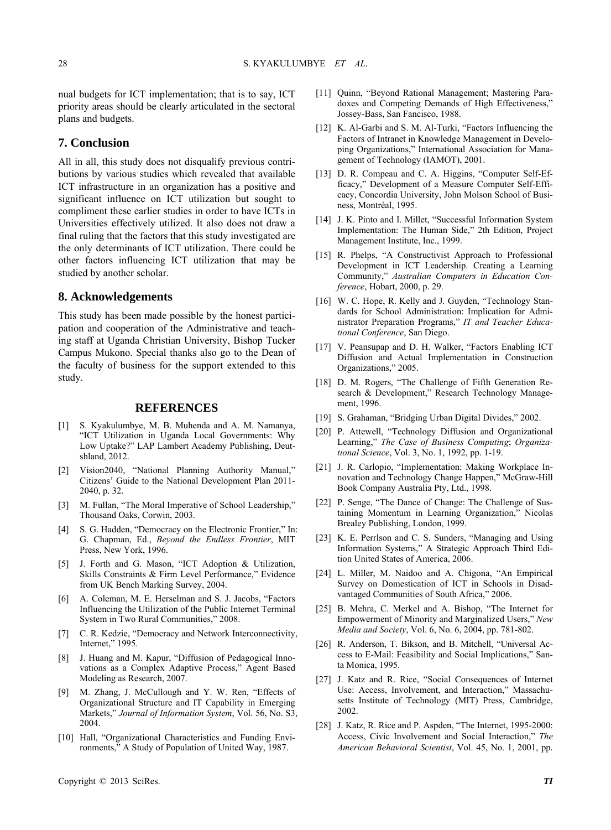nual budgets for ICT implementation; that is to say, ICT priority areas should be clearly articulated in the sectoral plans and budgets.

# **7. Conclusion**

All in all, this study does not disqualify previous contributions by various studies which revealed that available ICT infrastructure in an organization has a positive and significant influence on ICT utilization but sought to compliment these earlier studies in order to have ICTs in Universities effectively utilized. It also does not draw a final ruling that the factors that this study investigated are the only determinants of ICT utilization. There could be other factors influencing ICT utilization that may be studied by another scholar.

# **8. Acknowledgements**

This study has been made possible by the honest participation and cooperation of the Administrative and teaching staff at Uganda Christian University, Bishop Tucker Campus Mukono. Special thanks also go to the Dean of the faculty of business for the support extended to this study.

### **REFERENCES**

- [1] S. Kyakulumbye, M. B. Muhenda and A. M. Namanya, "ICT Utilization in Uganda Local Governments: Why Low Uptake?" LAP Lambert Academy Publishing, Deutshland, 2012.
- [2] Vision2040, "National Planning Authority Manual," Citizens' Guide to the National Development Plan 2011- 2040, p. 32.
- [3] M. Fullan, "The Moral Imperative of School Leadership," Thousand Oaks, Corwin, 2003.
- [4] S. G. Hadden, "Democracy on the Electronic Frontier," In: G. Chapman, Ed., *Beyond the Endless Frontier*, MIT Press, New York, 1996.
- [5] J. Forth and G. Mason, "ICT Adoption & Utilization, Skills Constraints & Firm Level Performance," Evidence from UK Bench Marking Survey, 2004.
- [6] A. Coleman, M. E. Herselman and S. J. Jacobs, "Factors Influencing the Utilization of the Public Internet Terminal System in Two Rural Communities," 2008.
- [7] C. R. Kedzie, "Democracy and Network Interconnectivity, Internet," 1995.
- [8] J. Huang and M. Kapur, "Diffusion of Pedagogical Innovations as a Complex Adaptive Process," Agent Based Modeling as Research, 2007.
- [9] M. Zhang, J. McCullough and Y. W. Ren, "Effects of Organizational Structure and IT Capability in Emerging Markets," *Journal of Information System*, Vol. 56, No. S3, 2004.
- [10] Hall, "Organizational Characteristics and Funding Environments," A Study of Population of United Way, 1987.
- [11] Ouinn, "Beyond Rational Management: Mastering Paradoxes and Competing Demands of High Effectiveness," Jossey-Bass, San Fancisco, 1988.
- [12] K. Al-Garbi and S. M. Al-Turki, "Factors Influencing the Factors of Intranet in Knowledge Management in Developing Organizations," International Association for Management of Technology (IAMOT), 2001.
- [13] D. R. Compeau and C. A. Higgins, "Computer Self-Efficacy," Development of a Measure Computer Self-Efficacy, Concordia University, John Molson School of Business, Montréal, 1995.
- [14] J. K. Pinto and I. Millet, "Successful Information System Implementation: The Human Side," 2th Edition, Project Management Institute, Inc., 1999.
- [15] R. Phelps, "A Constructivist Approach to Professional Development in ICT Leadership. Creating a Learning Community," *Australian Computers in Education Conference*, Hobart, 2000, p. 29.
- [16] W. C. Hope, R. Kelly and J. Guyden, "Technology Standards for School Administration: Implication for Administrator Preparation Programs," *IT and Teacher Educational Conference*, San Diego.
- [17] V. Peansupap and D. H. Walker, "Factors Enabling ICT Diffusion and Actual Implementation in Construction Organizations," 2005.
- [18] D. M. Rogers, "The Challenge of Fifth Generation Research & Development," Research Technology Management, 1996.
- [19] S. Grahaman, "Bridging Urban Digital Divides," 2002.
- [20] P. Attewell, "Technology Diffusion and Organizational Learning," *The Case of Business Computing*; *Organizational Science*, Vol. 3, No. 1, 1992, pp. 1-19.
- [21] J. R. Carlopio, "Implementation: Making Workplace Innovation and Technology Change Happen," McGraw-Hill Book Company Australia Pty, Ltd., 1998.
- [22] P. Senge, "The Dance of Change: The Challenge of Sustaining Momentum in Learning Organization," Nicolas Brealey Publishing, London, 1999.
- [23] K. E. Perrlson and C. S. Sunders, "Managing and Using Information Systems," A Strategic Approach Third Edition United States of America, 2006.
- [24] L. Miller, M. Naidoo and A. Chigona, "An Empirical Survey on Domestication of ICT in Schools in Disadvantaged Communities of South Africa," 2006.
- [25] B. [Mehra,](http://en.wikipedia.org/wiki/Bharat_Mehra) C. [Merkel](http://en.wikipedia.org/w/index.php?title=Cecelia_Merkel&action=edit&redlink=1) and A. [Bishop,](http://en.wikipedia.org/w/index.php?title=Ann_P._Bishop&action=edit&redlink=1) "The Internet for Empowerment of Minority and Marginalized Users," *[New](http://en.wikipedia.org/w/index.php?title=New_Media_and_Society&action=edit&redlink=1)  [Media and Society](http://en.wikipedia.org/w/index.php?title=New_Media_and_Society&action=edit&redlink=1)*, Vol. 6, No. 6, 2004, pp. 781-802.
- [26] R. Anderson, T. Bikson, and B. Mitchell, "Universal Access to E-Mail: Feasibility and Social Implications," Santa Monica, 1995.
- [27] J. Katz and R. Rice, "Social Consequences of Internet Use: Access, Involvement, and Interaction," Massachusetts Institute of Technology (MIT) Press, Cambridge, 2002.
- [28] J. Katz, R. Rice and P. Aspden, "The Internet, 1995-2000: Access, Civic Involvement and Social Interaction," *The American Behavioral Scientist*, Vol. 45, No. 1, 2001, pp.